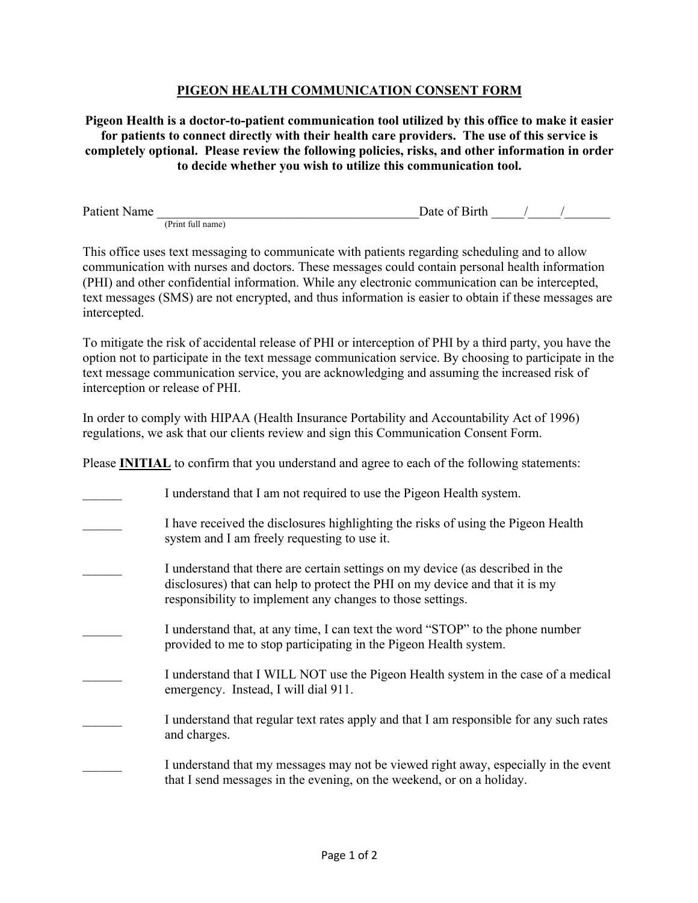## **PIGEON HEALTH COMMUNICATION CONSENT FORM**

**Pigeon Health is a doctor-to-patient communication tool utilized by this office to make it easier for patients to connect directly with their health care providers. The use of this service is completely optional. Please review the following policies, risks, and other information in order to decide whether you wish to utilize this communication tool.**

Patient Name  $\Box$  Date of Birth  $\Box$ (Print full name)

This office uses text messaging to communicate with patients regarding scheduling and to allow communication with nurses and doctors. These messages could contain personal health information (PHI) and other confidential information. While any electronic communication can be intercepted, text messages (SMS) are not encrypted, and thus information is easier to obtain if these messages are intercepted.

To mitigate the risk of accidental release of PHI or interception of PHI by a third party, you have the option not to participate in the text message communication service. By choosing to participate in the text message communication service, you are acknowledging and assuming the increased risk of interception or release of PHI.

In order to comply with HIPAA (Health Insurance Portability and Accountability Act of 1996) regulations, we ask that our clients review and sign this Communication Consent Form.

Please **INITIAL** to confirm that you understand and agree to each of the following statements:

I understand that I am not required to use the Pigeon Health system. I have received the disclosures highlighting the risks of using the Pigeon Health system and I am freely requesting to use it. I understand that there are certain settings on my device (as described in the disclosures) that can help to protect the PHI on my device and that it is my responsibility to implement any changes to those settings. I understand that, at any time, I can text the word "STOP" to the phone number provided to me to stop participating in the Pigeon Health system. I understand that I WILL NOT use the Pigeon Health system in the case of a medical emergency. Instead, I will dial 911. I understand that regular text rates apply and that I am responsible for any such rates and charges. I understand that my messages may not be viewed right away, especially in the event that I send messages in the evening, on the weekend, or on a holiday.